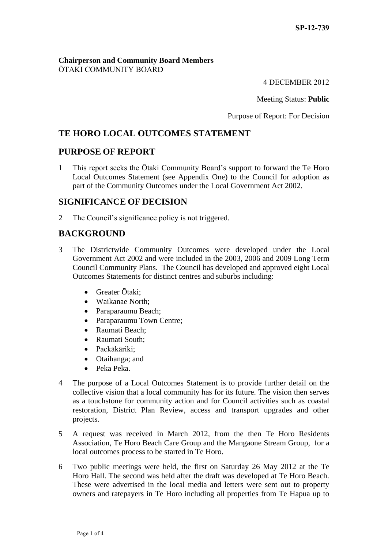#### **Chairperson and Community Board Members** ŌTAKI COMMUNITY BOARD

4 DECEMBER 2012

Meeting Status: **Public**

Purpose of Report: For Decision

# **TE HORO LOCAL OUTCOMES STATEMENT**

# **PURPOSE OF REPORT**

1 This report seeks the Ōtaki Community Board's support to forward the Te Horo Local Outcomes Statement (see Appendix One) to the Council for adoption as part of the Community Outcomes under the Local Government Act 2002.

# **SIGNIFICANCE OF DECISION**

2 The Council's significance policy is not triggered.

# **BACKGROUND**

- 3 The Districtwide Community Outcomes were developed under the Local Government Act 2002 and were included in the 2003, 2006 and 2009 Long Term Council Community Plans. The Council has developed and approved eight Local Outcomes Statements for distinct centres and suburbs including:
	- Greater Ōtaki:
	- Waikanae North:
	- Paraparaumu Beach;
	- Paraparaumu Town Centre;
	- Raumati Beach:
	- Raumati South:
	- Paekākāriki;
	- Otaihanga; and
	- Peka Peka.
- 4 The purpose of a Local Outcomes Statement is to provide further detail on the collective vision that a local community has for its future. The vision then serves as a touchstone for community action and for Council activities such as coastal restoration, District Plan Review, access and transport upgrades and other projects.
- 5 A request was received in March 2012, from the then Te Horo Residents Association, Te Horo Beach Care Group and the Mangaone Stream Group, for a local outcomes process to be started in Te Horo.
- 6 Two public meetings were held, the first on Saturday 26 May 2012 at the Te Horo Hall. The second was held after the draft was developed at Te Horo Beach. These were advertised in the local media and letters were sent out to property owners and ratepayers in Te Horo including all properties from Te Hapua up to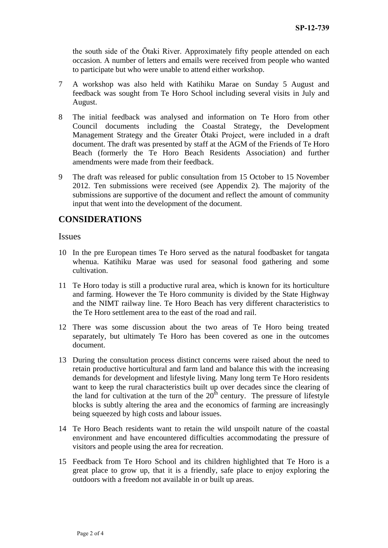the south side of the Ōtaki River. Approximately fifty people attended on each occasion. A number of letters and emails were received from people who wanted to participate but who were unable to attend either workshop.

- 7 A workshop was also held with Katihiku Marae on Sunday 5 August and feedback was sought from Te Horo School including several visits in July and August.
- 8 The initial feedback was analysed and information on Te Horo from other Council documents including the Coastal Strategy, the Development Management Strategy and the Greater Ōtaki Project, were included in a draft document. The draft was presented by staff at the AGM of the Friends of Te Horo Beach (formerly the Te Horo Beach Residents Association) and further amendments were made from their feedback.
- 9 The draft was released for public consultation from 15 October to 15 November 2012. Ten submissions were received (see Appendix 2). The majority of the submissions are supportive of the document and reflect the amount of community input that went into the development of the document.

## **CONSIDERATIONS**

#### Issues

- 10 In the pre European times Te Horo served as the natural foodbasket for tangata whenua. Katihiku Marae was used for seasonal food gathering and some cultivation.
- 11 Te Horo today is still a productive rural area, which is known for its horticulture and farming. However the Te Horo community is divided by the State Highway and the NIMT railway line. Te Horo Beach has very different characteristics to the Te Horo settlement area to the east of the road and rail.
- 12 There was some discussion about the two areas of Te Horo being treated separately, but ultimately Te Horo has been covered as one in the outcomes document.
- 13 During the consultation process distinct concerns were raised about the need to retain productive horticultural and farm land and balance this with the increasing demands for development and lifestyle living. Many long term Te Horo residents want to keep the rural characteristics built up over decades since the clearing of the land for cultivation at the turn of the  $20<sup>th</sup>$  century. The pressure of lifestyle blocks is subtly altering the area and the economics of farming are increasingly being squeezed by high costs and labour issues.
- 14 Te Horo Beach residents want to retain the wild unspoilt nature of the coastal environment and have encountered difficulties accommodating the pressure of visitors and people using the area for recreation.
- 15 Feedback from Te Horo School and its children highlighted that Te Horo is a great place to grow up, that it is a friendly, safe place to enjoy exploring the outdoors with a freedom not available in or built up areas.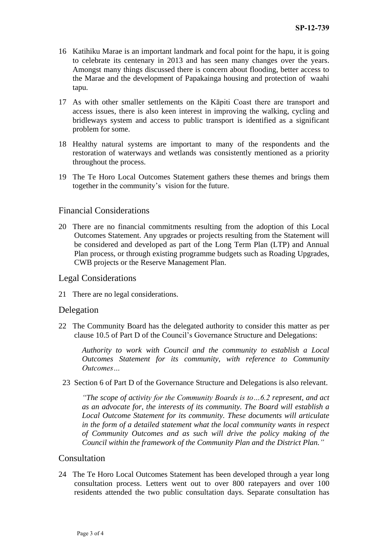- 16 Katihiku Marae is an important landmark and focal point for the hapu, it is going to celebrate its centenary in 2013 and has seen many changes over the years. Amongst many things discussed there is concern about flooding, better access to the Marae and the development of Papakainga housing and protection of waahi tapu.
- 17 As with other smaller settlements on the Kāpiti Coast there are transport and access issues, there is also keen interest in improving the walking, cycling and bridleways system and access to public transport is identified as a significant problem for some.
- 18 Healthy natural systems are important to many of the respondents and the restoration of waterways and wetlands was consistently mentioned as a priority throughout the process.
- 19 The Te Horo Local Outcomes Statement gathers these themes and brings them together in the community's vision for the future.

## Financial Considerations

20 There are no financial commitments resulting from the adoption of this Local Outcomes Statement. Any upgrades or projects resulting from the Statement will be considered and developed as part of the Long Term Plan (LTP) and Annual Plan process, or through existing programme budgets such as Roading Upgrades, CWB projects or the Reserve Management Plan.

#### Legal Considerations

21 There are no legal considerations.

#### Delegation

22 The Community Board has the delegated authority to consider this matter as per clause 10.5 of Part D of the Council's Governance Structure and Delegations:

*Authority to work with Council and the community to establish a Local Outcomes Statement for its community, with reference to Community Outcomes…*

23 Section 6 of Part D of the Governance Structure and Delegations is also relevant.

*"The scope of activity for the Community Boards is to…6.2 represent, and act as an advocate for, the interests of its community. The Board will establish a Local Outcome Statement for its community. These documents will articulate in the form of a detailed statement what the local community wants in respect of Community Outcomes and as such will drive the policy making of the Council within the framework of the Community Plan and the District Plan."*

#### Consultation

24 The Te Horo Local Outcomes Statement has been developed through a year long consultation process. Letters went out to over 800 ratepayers and over 100 residents attended the two public consultation days. Separate consultation has